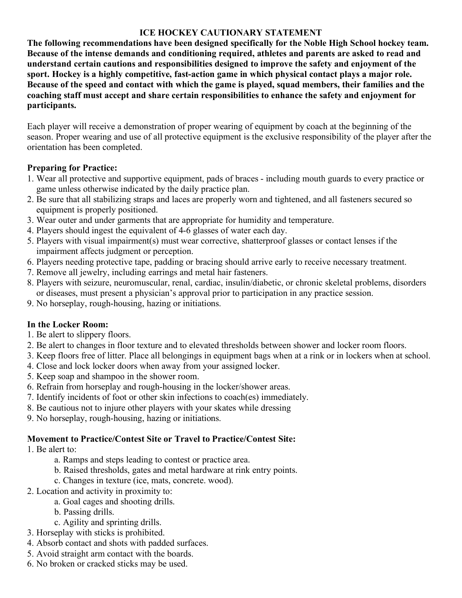# **ICE HOCKEY CAUTIONARY STATEMENT**

**The following recommendations have been designed specifically for the Noble High School hockey team. Because of the intense demands and conditioning required, athletes and parents are asked to read and understand certain cautions and responsibilities designed to improve the safety and enjoyment of the sport. Hockey is a highly competitive, fast-action game in which physical contact plays a major role. Because of the speed and contact with which the game is played, squad members, their families and the coaching staff must accept and share certain responsibilities to enhance the safety and enjoyment for participants.**

Each player will receive a demonstration of proper wearing of equipment by coach at the beginning of the season. Proper wearing and use of all protective equipment is the exclusive responsibility of the player after the orientation has been completed.

# **Preparing for Practice:**

- 1. Wear all protective and supportive equipment, pads of braces including mouth guards to every practice or game unless otherwise indicated by the daily practice plan.
- 2. Be sure that all stabilizing straps and laces are properly worn and tightened, and all fasteners secured so equipment is properly positioned.
- 3. Wear outer and under garments that are appropriate for humidity and temperature.
- 4. Players should ingest the equivalent of 4-6 glasses of water each day.
- 5. Players with visual impairment(s) must wear corrective, shatterproof glasses or contact lenses if the impairment affects judgment or perception.
- 6. Players needing protective tape, padding or bracing should arrive early to receive necessary treatment.
- 7. Remove all jewelry, including earrings and metal hair fasteners.
- 8. Players with seizure, neuromuscular, renal, cardiac, insulin/diabetic, or chronic skeletal problems, disorders or diseases, must present a physician's approval prior to participation in any practice session.
- 9. No horseplay, rough-housing, hazing or initiations.

# **In the Locker Room:**

- 1. Be alert to slippery floors.
- 2. Be alert to changes in floor texture and to elevated thresholds between shower and locker room floors.
- 3. Keep floors free of litter. Place all belongings in equipment bags when at a rink or in lockers when at school.
- 4. Close and lock locker doors when away from your assigned locker.
- 5. Keep soap and shampoo in the shower room.
- 6. Refrain from horseplay and rough-housing in the locker/shower areas.
- 7. Identify incidents of foot or other skin infections to coach(es) immediately.
- 8. Be cautious not to injure other players with your skates while dressing
- 9. No horseplay, rough-housing, hazing or initiations.

# **Movement to Practice/Contest Site or Travel to Practice/Contest Site:**

# 1. Be alert to:

- a. Ramps and steps leading to contest or practice area.
- b. Raised thresholds, gates and metal hardware at rink entry points.
- c. Changes in texture (ice, mats, concrete. wood).
- 2. Location and activity in proximity to:
	- a. Goal cages and shooting drills.
	- b. Passing drills.
	- c. Agility and sprinting drills.
- 3. Horseplay with sticks is prohibited.
- 4. Absorb contact and shots with padded surfaces.
- 5. Avoid straight arm contact with the boards.
- 6. No broken or cracked sticks may be used.